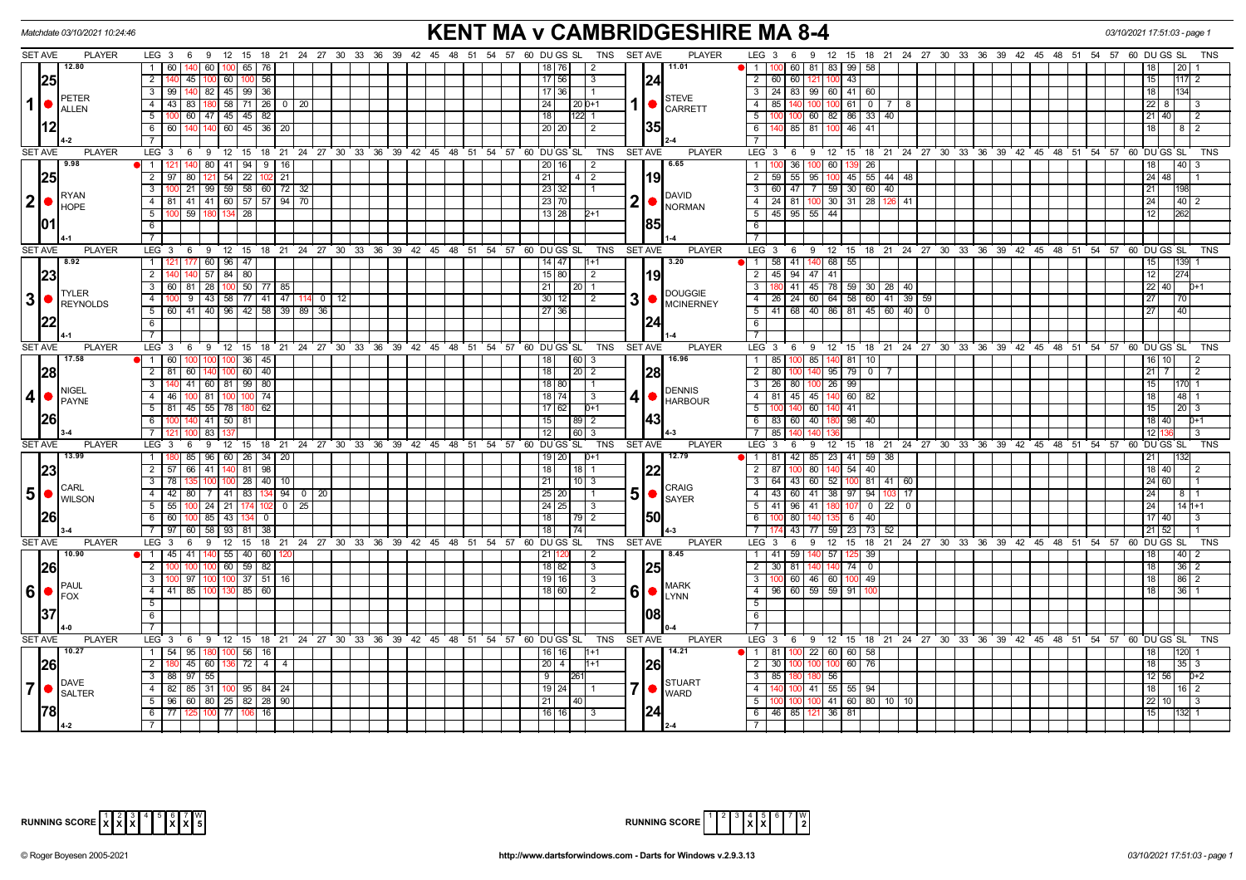| <b>KENT MA v CAMBRIDGESHIRE MA 8-4</b><br>Matchdate 03/10/2021 10:24:46<br>03/10/2021 17:51:03 - page 1 |                                                                          |                                                                                 |                                                                |                                                                                                                  |                                             |  |  |  |
|---------------------------------------------------------------------------------------------------------|--------------------------------------------------------------------------|---------------------------------------------------------------------------------|----------------------------------------------------------------|------------------------------------------------------------------------------------------------------------------|---------------------------------------------|--|--|--|
| <b>SET AVE</b><br><b>PLAYER</b>                                                                         |                                                                          | LEG 3 6 9 12 15 18 21 24 27 30 33 36 39 42 45 48 51 54 57 60 DUGS SL TNS SETAVE | <b>PLAYER</b>                                                  | LEG <sub>3</sub><br>9 12 15 18 21 24 27 30 33 36 39 42 45 48 51 54 57 60 DUGS SL<br>6                            | TNS                                         |  |  |  |
| 12.80                                                                                                   | 1 60<br>60   100   65   76                                               |                                                                                 | 11.01<br>18   76  <br>$\overline{2}$                           | 60 81 83<br>1 1 100<br>99 58                                                                                     | 20                                          |  |  |  |
| 25                                                                                                      | $2^{\circ}$<br>45   100   60  <br>$100$ 56                               |                                                                                 | 24 <br>$17$ 56<br>l 3                                          | 2 60 60 121 100 43                                                                                               | 15<br> 117 2                                |  |  |  |
| <b>PETER</b>                                                                                            | 140 82 45 99 36<br>3   99                                                |                                                                                 | 17   36  <br>11                                                | 3   24   83   99   60   41   60                                                                                  | 18 I<br>134                                 |  |  |  |
| 1<br><b>ALLEN</b>                                                                                       | $4 \mid 43$<br>83   180   58   71   26   0   20                          |                                                                                 | <b>STEVE</b><br>24<br>$ 20 0+1$<br>$\bullet$<br><b>CARRETT</b> | 85<br>$100$ 61 0<br>4<br>140<br>100<br>- 7 I<br>- 8                                                              | $\overline{22}$   8   3                     |  |  |  |
|                                                                                                         | $5 \mid 100 \mid 60 \mid 47 \mid 45 \mid 45 \mid 82 \mid$                |                                                                                 | 18 <br>$122$ 1                                                 | 100 100 60 82 86 33<br>5<br>40                                                                                   | $21$ 40<br>$\overline{12}$                  |  |  |  |
|                                                                                                         | 6 6 6 140 140 60 45 36 20                                                |                                                                                 | <b>35</b><br>20 20 <br>$\frac{12}{2}$                          | 85 81 100<br>$6 \mid 140$<br>46 41                                                                               | 18 I<br>$\begin{array}{c} 1812 \end{array}$ |  |  |  |
|                                                                                                         | 7                                                                        |                                                                                 |                                                                | $\overline{7}$                                                                                                   |                                             |  |  |  |
| <b>SET AVE</b><br><b>PLAYER</b>                                                                         | $LEG \ 3$                                                                | 6 9 12 15 18 21 24 27 30 33 36 39 42 45 48 51 54 57 60 DUGS SL                  | <b>TNS</b><br><b>SET AVE</b><br><b>PLAYER</b>                  | LEG <sub>3</sub><br>6 9 12 15 18 21 24 27 30 33 36 39 42 45 48 51 54 57 60 DUGS SL                               | TNS                                         |  |  |  |
| 9.98                                                                                                    | 1   121   140   80   41   94   9   16                                    |                                                                                 | 6.65<br>20 16 <br>$\overline{2}$                               | 36 100 60 139 26<br>$1 \ 100$                                                                                    | 40 3<br>18 <sup>1</sup>                     |  |  |  |
| 25                                                                                                      | 54 22 <br>$2 \mid 97$<br>$80$ 12<br>$102$ 21                             |                                                                                 | 21<br> 19<br>1412                                              | $\overline{2}$<br>59<br>$55 \ 95$<br>45 55 44 48<br>100                                                          | $24$ 48                                     |  |  |  |
| <b>RYAN</b>                                                                                             | 21   99   59   58   60   72   32<br>$3 \mid 100$                         |                                                                                 | 23 32<br>$\vert$ 1<br>DAVID                                    | 3 60 47 7 59 30 60 40                                                                                            | 21<br>198                                   |  |  |  |
| 2 • <br><b>HOPE</b>                                                                                     | 4   81   41   41   60   57   57   94   70                                |                                                                                 | 2 <sub>1</sub><br>23 70 <br>NORMAN                             | 4   24   81   100   30   31   28   126   41                                                                      | 24<br> 40 2                                 |  |  |  |
|                                                                                                         | $5-$<br>00 59 180 134 28                                                 |                                                                                 | $13$   28  <br>$2+1$                                           | 5 45 95 55 44                                                                                                    | 12 <br>1262                                 |  |  |  |
| 101                                                                                                     | 6                                                                        |                                                                                 | 85                                                             | 6                                                                                                                |                                             |  |  |  |
|                                                                                                         | 7                                                                        |                                                                                 |                                                                | $\overline{7}$                                                                                                   |                                             |  |  |  |
| <b>SET AVE</b><br><b>PLAYER</b>                                                                         | LEG <sub>3</sub><br>6                                                    | 0 12 15 18 21 24 27 30 33 36 39 42 45 48 51 54 57 60 DUGS SL                    | TNS<br><b>SET AVE</b><br><b>PLAYER</b>                         | LEG <sup>3</sup><br>12 15 18 21 24 27 30 33 36 39 42 45 48 51 54 57 60 DUGS SL<br>69                             | <b>TNS</b>                                  |  |  |  |
| 8.92                                                                                                    | $60$   96   47<br>$1 \quad 121$<br>177                                   |                                                                                 | 3.20<br>$14$ 47<br>$11+1$                                      | $1 \t 58 \t 41 \t 140 \t 68$<br>55                                                                               | 139<br>15                                   |  |  |  |
| 23                                                                                                      | $57$ 84 80<br>2<br>140                                                   |                                                                                 | 119<br>15 80 <br>$\vert$ 2                                     | 2 45 94 47 41                                                                                                    | 12<br>274                                   |  |  |  |
| <b>TYLER</b>                                                                                            | 3   60   81   28   100<br>$50$ 77 85                                     |                                                                                 | 21<br>$\vert$ 20 $\vert$ 1<br><b>DOUGGIE</b>                   | $\overline{\mathbf{3}}$<br>41 45 78 59 30 28 40                                                                  | $22$ 40<br>$D+1$                            |  |  |  |
| 3 <br>REYNOLDS                                                                                          | 4<br>$43 \mid 58$<br>77 41 47 114 0 12<br>9                              |                                                                                 | 31<br>$30$   12 <br>$\overline{2}$<br>MCINERNEY                | $\overline{4}$<br>24 60 64<br>58 60 41 39 59<br>26                                                               | 27<br>  70                                  |  |  |  |
|                                                                                                         | 41 40 96 42 58 39 89<br>$5 \mid 60$<br>36                                |                                                                                 | 27 36<br>124                                                   | 68 40 86 81 45<br>60 40 0<br>5 <sub>1</sub><br>41                                                                | 27<br> 40                                   |  |  |  |
|                                                                                                         | 6                                                                        |                                                                                 |                                                                | 6                                                                                                                |                                             |  |  |  |
|                                                                                                         | $7\overline{ }$                                                          |                                                                                 |                                                                | $7^{\circ}$                                                                                                      |                                             |  |  |  |
| <b>SET AVE</b><br><b>PLAYER</b><br>17.58                                                                | LEG <sub>3</sub><br>$1 \overline{60}$<br>100                             | 6 9 12 15 18 21 24 27 30 33 36 39 42 45 48 51 54 57 60 DUGS SL                  | TNS<br><b>SET AVE</b><br><b>PLAYER</b><br>16.96<br>18<br>60 3  | LEG <sub>3</sub><br>6 9 12 15 18 21 24 27 30 33 36 39 42 45 48 51 54 57 60 DUGS SL<br>1<br>85<br>81<br>140<br>10 | <b>TNS</b><br>16   10                       |  |  |  |
|                                                                                                         | $36 \mid 45$<br>$2 \mid 81$<br>60 140 100<br>60 40                       |                                                                                 | 28<br>18                                                       | 85<br>$\overline{2}$<br>80<br>100 140<br>$\overline{0}$                                                          |                                             |  |  |  |
| 28                                                                                                      | 41 60 81 99 80<br>3 <sup>1</sup>                                         |                                                                                 | $\left  20 \right $ 2<br>18 80<br>$\overline{1}$               | 95 79<br>$\mathbf{3}$<br>26 80 100 26<br>99                                                                      | $21$   7<br>15 <sup>1</sup><br>170 1        |  |  |  |
| <b>NIGEL</b><br>$\overline{4}$                                                                          | $4 \mid 46$<br>100 81 100<br>$100$ 74                                    |                                                                                 | <b>I</b> DENNIS<br>18   74  <br>$\vert$ 3                      | 4   81   45   45   140   60   82                                                                                 | 48 1<br>18 I                                |  |  |  |
| PAYNE                                                                                                   | 5   81   45   55   78  <br>180 I 62                                      |                                                                                 | <b>HARBOUR</b><br>17 62 1<br>$D+1$                             | 140 60<br>5<br>140 41<br>100                                                                                     | 20 3<br>15 I                                |  |  |  |
| I26I                                                                                                    | $140$ 41 50<br>6 100<br>81                                               |                                                                                 | 43<br>15 <sup>1</sup><br>  89   2                              | 6 83 60 40<br>98 40                                                                                              | 18   40  <br>$D+1$                          |  |  |  |
|                                                                                                         | 7 <sup>1</sup><br>83                                                     |                                                                                 | 12<br>60 3                                                     | $7 \mid 85$                                                                                                      | 12<br>l 3                                   |  |  |  |
| <b>SET AVE</b><br><b>PLAYER</b>                                                                         | $LEG \ 3$<br>9<br>- 6                                                    | 12 15 18 21 24 27 30 33 36 39 42 45 48 51 54 57 60 DUGS SL                      | <b>PLAYER</b><br><b>TNS</b><br><b>SET AVE</b>                  | $LEG_3$<br>6<br><b>9</b><br>12 15 18 21 24 27 30 33 36 39 42 45 48 51 54 57 60 DUGS SL                           | <b>TNS</b>                                  |  |  |  |
| 13.99                                                                                                   | 1   180   85   96   60   26   34   20                                    |                                                                                 | 12.79<br>$19$   20  <br>$D+1$                                  | 1   81   42   85   23   41   59   38                                                                             | 21<br>1132                                  |  |  |  |
| 23                                                                                                      | 81<br>$2 \mid 57$<br>66<br>41 140<br>98                                  |                                                                                 | 22<br>18<br>$18$ 1                                             | 80<br>$2 \mid 87$<br>140<br>$54 \mid 40$                                                                         | 18 40 <br>2                                 |  |  |  |
|                                                                                                         | 100 100 28 40 10<br>$3 \mid 78$                                          |                                                                                 | 21<br> 10 3                                                    | 3 64 43 60 52 100 81 41 60                                                                                       | 24 60 <br>I 1                               |  |  |  |
| <b>CARL</b><br>$5$ $\bullet$ WILSON                                                                     | 4 4 4 4 8 0 7 4 1 8 3 1 3 4 9 4 0 20                                     |                                                                                 | <b>CRAIG</b><br>51<br>$25$ 20<br>11<br>$\bullet$               | 4 4 43 60 41 38 97 94<br>103.<br>- 17                                                                            | $ 24 $   8   1                              |  |  |  |
|                                                                                                         | $5 \mid 55 \mid$<br>100 24 21 174 102<br>25                              |                                                                                 | <b>SAYER</b><br>$24 \mid 25 \mid$<br>$\vert$ 3                 | 5 41 96 41 180 107 0 22<br>$\overline{0}$                                                                        | $ 24 $ $ 14 $                               |  |  |  |
|                                                                                                         | $6 \ 60$<br>100 85 43 134 0                                              |                                                                                 | 150<br>18                                                      | 6<br>80 140 135<br>$6 \mid 40$<br>100                                                                            | 17140                                       |  |  |  |
|                                                                                                         | 7   97  <br>60 I<br>58   93   81   38                                    |                                                                                 | 18 <br> 74                                                     | 43 77 59 23 73<br>7 I<br>52                                                                                      | $21 \overline{)52}$<br>I 1                  |  |  |  |
| <b>SET AVE</b><br><b>PLAYER</b>                                                                         | LEG <sup>3</sup><br>$9 \t12$<br>6                                        | 15 18 21 24 27 30 33 36 39 42 45 48 51 54 57 60 DUGS SL                         | <b>TNS</b><br><b>SET AVE</b><br><b>PLAYER</b>                  | 12 15 18 21 24 27 30 33 36 39 42 45 48 51 54 57 60 DUGS SL<br>LEG 3<br>$6^{\circ}$<br>່ 9                        | <b>TNS</b>                                  |  |  |  |
| 10.90                                                                                                   | 41   140   55   40   60   120<br>$1 \mid 45$                             |                                                                                 | 8.45<br>21<br>$\overline{2}$                                   | 59<br>140 57<br>$1 \overline{41}$<br>125 39                                                                      | 40 <br>18<br>$\overline{2}$                 |  |  |  |
| 26                                                                                                      | $100 \ 60 \ 59 \ 82$<br>2 I<br>100 I                                     |                                                                                 | 25<br>18 82<br>$\vert$ 3                                       | $2 \overline{30}$<br>81 I<br>140 140 74 0                                                                        | 36 2<br>18 I                                |  |  |  |
|                                                                                                         | 3   100   97   100   100   37   51   16                                  |                                                                                 | $19$ 16<br>$\sqrt{3}$<br><b>I</b> MARK                         | 3 100 60 46 60 100 49                                                                                            | 86 2<br>18 <sup>1</sup>                     |  |  |  |
| PAUL<br>6 <br>FOX                                                                                       | 4 41 85 100 130<br>85 60                                                 |                                                                                 | $60$ $\degree$ $\degree$ $\degree$<br>18 60<br>2               | 4 96 60 59 59 91                                                                                                 | 18<br>36                                    |  |  |  |
|                                                                                                         | $5\overline{)}$                                                          |                                                                                 |                                                                | $5^{\circ}$                                                                                                      |                                             |  |  |  |
|                                                                                                         | 6                                                                        |                                                                                 | 108                                                            | 6                                                                                                                |                                             |  |  |  |
| ۵-۵                                                                                                     | $\overline{7}$                                                           |                                                                                 |                                                                | $\overline{7}$                                                                                                   |                                             |  |  |  |
| <b>SET AVE</b><br><b>PLAYER</b>                                                                         | LEG 3 6 9 12 15 18 21 24 27 30 33 36 39 42 45 48 51 54 57 60 DUGS SL TNS |                                                                                 | <b>PLAYER</b><br>SET AVE                                       | LEG 3 6 9 12 15 18 21 24 27 30 33 36 39 42 45 48 51 54 57 60 DUGS SL                                             | <b>TNS</b>                                  |  |  |  |
| 10.27                                                                                                   | 95<br>180 100 56 16<br>1   54                                            |                                                                                 | 14.21<br>16   16  <br>$1+1$                                    | 100 22 60<br>  1   81<br>60 58                                                                                   | 120<br>18 I                                 |  |  |  |
| 26                                                                                                      | 2<br>45 60 136                                                           |                                                                                 | <b>26</b><br>$20 \mid 4 \mid$<br>$1 + 1$                       | $\overline{2}$<br>30<br>60 76<br>100<br>100                                                                      | 35<br>18 <sup>1</sup><br>-3                 |  |  |  |
| <b>DAVE</b>                                                                                             | $3 \mid 88$<br>97<br>55                                                  |                                                                                 | 9<br>126<br>STUART                                             | $\overline{\mathbf{3}}$<br>85<br>56<br>80                                                                        | $12$ 56<br>$D+2$                            |  |  |  |
| $\overline{7}$<br><b>SALTER</b>                                                                         | $4 \mid 82$<br>85 31 100 95 84 24                                        |                                                                                 | $19 24 $ 1<br><b>WARD</b>                                      | 41 55 55 94<br>$\overline{4}$<br>140                                                                             | 16   2<br>18 I                              |  |  |  |
|                                                                                                         | $5 \mid 96 \mid 60 \mid 80 \mid 25 \mid 82 \mid 28 \mid 90$              |                                                                                 | 21<br> 40                                                      | 100 100 41 60 80 10 10<br>5 <sup>5</sup><br>100                                                                  | $22$ 10<br>l 3                              |  |  |  |
| l78l                                                                                                    | $6 \mid 77$<br>125 100 77<br>106 16                                      |                                                                                 | 24 <br>16 16<br>$\overline{3}$                                 | 6 46 85 121 36 81                                                                                                | 15<br>$1132$ 1                              |  |  |  |
|                                                                                                         |                                                                          |                                                                                 |                                                                | $\overline{7}$                                                                                                   |                                             |  |  |  |

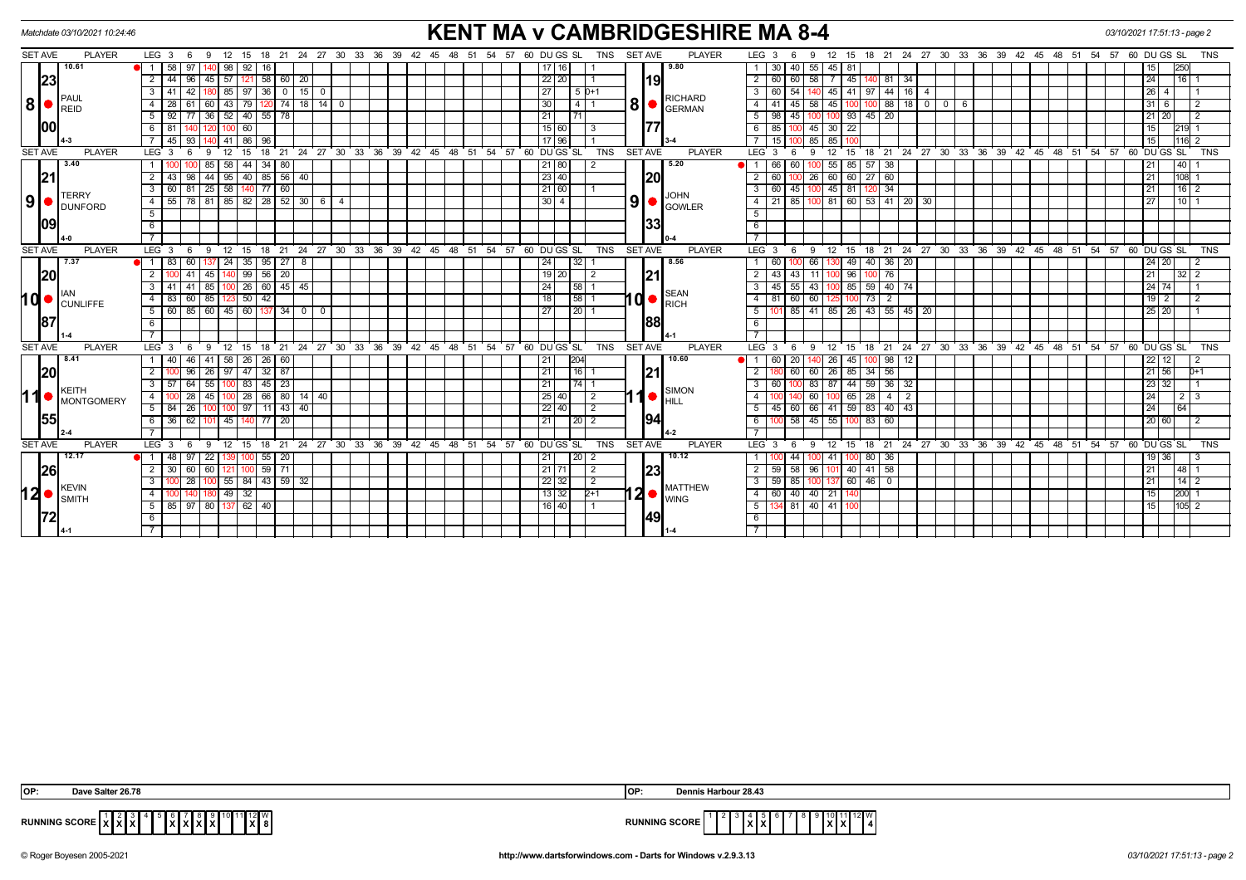| <b>KENT MA v CAMBRIDGESHIRE MA 8-4</b><br>Matchdate 03/10/2021 10:24:46<br>03/10/2021 17:51:13 - page 2 |                                             |                                                                                                         |                                                                                                    |                                                                                                                          |                                      |  |  |  |
|---------------------------------------------------------------------------------------------------------|---------------------------------------------|---------------------------------------------------------------------------------------------------------|----------------------------------------------------------------------------------------------------|--------------------------------------------------------------------------------------------------------------------------|--------------------------------------|--|--|--|
| <b>SET AVE</b>                                                                                          | <b>PLAYER</b>                               | $LEG$ 3 6<br>18  21  24  27  30  33  36  39  42  45  48  51  54  57  60  DU GS  SL<br>- 9<br>12<br>15   | <b>SET AVE</b><br><b>PLAYER</b><br><b>TNS</b>                                                      | LEG <sub>3</sub><br>18 21 24 27 30 33 36 39 42 45 48 51 54 57 60 DU GS SL<br>12<br>15<br>6<br>-9                         | <b>TNS</b>                           |  |  |  |
|                                                                                                         | 10.61                                       | 58<br>98<br>92  <br>16<br>97                                                                            | 9.80<br>17   16                                                                                    | 30<br>55 45<br>81<br>40                                                                                                  | 250<br>15                            |  |  |  |
| 23                                                                                                      |                                             | 58   60   20<br>57<br>2<br>44<br>96<br>45<br>121                                                        | $22$ 20<br><b>119</b>                                                                              | 60<br>45<br>60<br>58<br>34<br>81                                                                                         | 24<br>16                             |  |  |  |
|                                                                                                         | PAUL<br>REID<br>100                         | 85   97   36   0   15   0<br>42<br>3<br>41 I                                                            | 27<br>$15D+1$                                                                                      | $44$ 16 4<br>60<br>-54<br>41<br>97<br>45                                                                                 | $\vert 26 \vert 4$                   |  |  |  |
| 8                                                                                                       |                                             | 14 <br>43<br>$\sqrt{18}$<br>79 I<br>74<br>28<br>60                                                      | <b>RICHARD</b><br>$80$ $\text{F}_{\text{GERMAN}}$<br>30<br>$4 \mid 1$                              | 88<br>18<br>41<br>45<br>45<br>$0 1 0 1$<br>58 I<br>- 6                                                                   | $31$ 6<br>2                          |  |  |  |
|                                                                                                         |                                             | $92$ $\overline{77}$ 36 52 40 55 78<br>5                                                                | 21<br>71                                                                                           | 93   45   20<br>$5 \mid 98$<br>45                                                                                        | 21 20 <br>$\overline{2}$             |  |  |  |
|                                                                                                         |                                             | 60<br>6<br>81                                                                                           | 15 60 <br>-3                                                                                       | 85<br>45 30<br>22<br>6                                                                                                   | 15<br>121911                         |  |  |  |
|                                                                                                         |                                             | 140 41 86 96<br>45   93                                                                                 | 17   96                                                                                            | 15<br>85 85                                                                                                              | 15 <br>$1116$ 2                      |  |  |  |
| <b>SET AVE</b>                                                                                          | <b>PLAYER</b>                               | LEG <sub>3</sub><br>12<br>18<br>- 6<br>15                                                               | 21 24 27 30 33 36 39 42 45 48 51 54 57 60 DUGS SL<br><b>TNS</b><br><b>SET AVE</b><br><b>PLAYER</b> | 24 27 30 33 36 39 42 45 48 51 54 57 60 DUGS SL<br>LEG <sub>3</sub><br>12<br>15<br>18 21<br>$\mathbf{Q}$<br>-6            | <b>TNS</b>                           |  |  |  |
|                                                                                                         | 3.40                                        | 58<br>44 34 80<br>85                                                                                    | 21 80 <br>5.20                                                                                     | 66<br>55<br>85 57 38<br>$\bullet$ 1 1<br>60                                                                              | 40 <br>21                            |  |  |  |
| 21                                                                                                      |                                             | 40 85 56 40<br>44<br>95<br>43<br>98                                                                     | 23 40<br><b>120</b>                                                                                | 60<br>60<br>$26 \ 60$<br>$27 \ 60$                                                                                       | 21<br>108                            |  |  |  |
|                                                                                                         | <b>TERRY</b>                                | $\sqrt{25}$ 58<br>140 77<br>60<br>60 I 81<br>3                                                          | 21 60                                                                                              | 60<br>45 81<br>$\overline{34}$<br>45                                                                                     | 16 2<br>21                           |  |  |  |
| 9                                                                                                       | <b>DUNFORD</b>                              | 55   78   81   85   82   28   52   30   6<br>$\overline{a}$<br>$\overline{4}$                           | <b>JOHN</b><br>9<br>$30\overline{)4}$<br><b>O</b> GOWLER                                           | 60 53 41 20 30<br>21<br>85<br>100 81                                                                                     | 10 <br>27                            |  |  |  |
|                                                                                                         |                                             | 5                                                                                                       |                                                                                                    | 5                                                                                                                        |                                      |  |  |  |
| 109                                                                                                     |                                             | 6                                                                                                       | 133                                                                                                | 6                                                                                                                        |                                      |  |  |  |
|                                                                                                         |                                             | $\overline{7}$                                                                                          |                                                                                                    |                                                                                                                          |                                      |  |  |  |
| <b>SET AVE</b>                                                                                          | <b>PLAYER</b>                               | LEG <sup>3</sup><br>12<br>18 21 24 27 30 33 36 39 42 45 48 51 54 57 60 DUGS SL<br>9<br>15<br>- 6        | TNS<br><b>SET AVE</b><br><b>PLAYER</b>                                                             | LEG <sub>3</sub><br>15 18 21 24 27 30 33 36 39 42 45 48 51 54 57 60 DUGS SL<br>9<br>$^{\circ}$ 12<br>6                   | <b>TNS</b>                           |  |  |  |
|                                                                                                         | 7.37                                        | 83<br>60<br>$\overline{24}$<br>$35 \mid 95 \mid 27 \mid 8$<br>$\overline{1}$                            | 8.56<br> 32 <br>24                                                                                 | 49<br>140<br>$36$ 20<br>60<br>66                                                                                         | $24$ 20<br>2                         |  |  |  |
| 20                                                                                                      |                                             | $99$ 56 20<br>$\overline{2}$<br>45<br>41                                                                | 21 <br>$19$   20<br>2                                                                              | 43<br>11<br>96<br>76<br>43                                                                                               | 21<br>$32$   2                       |  |  |  |
|                                                                                                         |                                             | 26   60  <br>$145$ 45<br>85<br>41                                                                       | 24<br> 58 <br>SEAN                                                                                 | 45<br>55<br>85<br>43<br>59<br>40 74                                                                                      | $24$ 74                              |  |  |  |
|                                                                                                         | 10 CUNLIFFE                                 | 85 123 50 42<br>83 60<br>$\overline{a}$                                                                 | $10$ $\bullet$ $\stackrel{\text{SEMN}}{\text{RICH}}$<br>$\sqrt{58}$ 1<br>18                        | 60<br>81<br>60<br> 73 <br>$\overline{2}$<br>100<br>4 I<br>125                                                            | $19$   2<br>$\overline{2}$           |  |  |  |
|                                                                                                         |                                             | 60<br>$145$ 60 137 34 0 0<br>60   85  <br>5                                                             | $\boxed{20}$ 1<br>27                                                                               | 41 85 26 43 55 45 20<br>85                                                                                               | 25 20                                |  |  |  |
| 187                                                                                                     |                                             | 6                                                                                                       | <b>188</b>                                                                                         | 6                                                                                                                        |                                      |  |  |  |
|                                                                                                         |                                             |                                                                                                         |                                                                                                    |                                                                                                                          |                                      |  |  |  |
| <b>SET AVE</b>                                                                                          | <b>PLAYER</b>                               | LEG <sub>3</sub><br>12<br>15<br>18<br>- 6<br>9                                                          | 21 24 27 30 33 36 39 42 45 48 51 54 57 60 DUGS SL<br><b>TNS</b><br><b>SET AVE</b><br><b>PLAYER</b> | 24 27 30 33 36 39 42 45 48 51 54 57 60 DUGS SL<br>LEG <sub>3</sub><br>18 21<br>-9<br>12<br>15<br>6                       | <b>TNS</b>                           |  |  |  |
|                                                                                                         | 8.41                                        | 58<br>26 26 60<br>40 l<br>46<br>41                                                                      | 204<br>10.60<br>21                                                                                 | 20<br>26<br>100 98<br>60<br>45<br>12                                                                                     | 22<br>12<br>2                        |  |  |  |
| 20                                                                                                      |                                             | 26<br>  97   47   32   87<br>96                                                                         | 21 <br>116<br>21                                                                                   | 60 26<br>85<br>$34 \overline{56}$<br>2 <sup>1</sup><br>60                                                                | 21 56<br>$D+1$                       |  |  |  |
|                                                                                                         | <b>KEITH</b>                                | 55<br>$83 \mid 45 \mid 23$<br>57 64                                                                     | 21<br><b>SIMON</b>                                                                                 | 44<br>59 36 32<br>60<br>83 87                                                                                            | 23<br>32                             |  |  |  |
| 11                                                                                                      | <b>MONTGOMERY</b>                           | 28 66 80 14 40<br>28<br>45<br>$\overline{4}$                                                            | 25 40 <br>2<br>$\bullet$<br>Ihill                                                                  | 65<br>60 I<br>28<br>4 I<br>$\overline{2}$                                                                                | 24<br>$2 \mid 3$                     |  |  |  |
|                                                                                                         |                                             | 100 100 97 11 43 40<br>5 <sup>1</sup><br>84 26                                                          | $22$   40  <br>$\overline{2}$                                                                      | 45<br>  60   66   41   59   83   40   43                                                                                 | 24<br>64                             |  |  |  |
| <b>155</b>                                                                                              |                                             | 6<br>62<br> 45 <br>140 77<br>20<br>-36 I                                                                | 1941<br>21 I<br> 20 2                                                                              | $-58$<br>$45 \mid 55$<br>83<br>60<br>6<br>100                                                                            | 20 60 <br>-2                         |  |  |  |
|                                                                                                         |                                             |                                                                                                         |                                                                                                    |                                                                                                                          |                                      |  |  |  |
| <b>SET AVE</b>                                                                                          | <b>PLAYER</b>                               | LEG <sub>3</sub><br>24 27<br>$30 \quad 33$<br>36<br>$\frac{1}{39}$ 42 45<br>12<br>15<br>18<br>21<br>- 6 | $^{\circ}$ 48<br>51 54 57<br>60 DU GS SL<br><b>TNS</b><br><b>SET AVE</b><br><b>PLAYER</b>          | LEG <sub>3</sub><br>24 27 30 33 36 39<br>$42 \quad 45 \quad 48$<br>51<br>12<br>15<br>18<br>$^{\circ}$ 21<br>$\mathbf{Q}$ | 54<br>57<br>60 DUGS SL<br><b>TNS</b> |  |  |  |
|                                                                                                         | 12.17<br><b>26</b><br><b>KEVIN</b><br>SMITH | 48 I<br>55<br>22<br>-20                                                                                 | 10.12<br>  20   2<br>21 I                                                                          | -44<br>80 I<br>-36<br>-41                                                                                                | 19   36  <br>-3                      |  |  |  |
|                                                                                                         |                                             | $100$ 59 71<br>2<br>60<br>60<br>-30 I                                                                   | 23<br>$21$   71<br>$\overline{2}$                                                                  | $41 \overline{58}$<br>58<br>40<br>59<br>96 I                                                                             | 21<br> 48  1                         |  |  |  |
|                                                                                                         |                                             | 100 55 84 43 59 32<br>28                                                                                | 22 32 <br>$\sqrt{2}$<br><b>MATTHEW</b>                                                             | 59 85<br>100 137 60 46 0<br>3 I                                                                                          | 21<br>$14$   2                       |  |  |  |
| 12∣•                                                                                                    |                                             | 49<br>32                                                                                                | $12 \bullet  _{\text{WING}}^{\text{MALIP}}$<br>13 32<br>$2+1$                                      | 40<br>60<br>$40$ 21<br>4                                                                                                 | 15<br> 200  1                        |  |  |  |
|                                                                                                         |                                             | 85 97 80 137 62 40<br>5 <sup>1</sup>                                                                    | 16 40                                                                                              | $5 \mid 134 \mid 81 \mid 40 \mid 41$                                                                                     | 15<br>$ 105 $ 2                      |  |  |  |
|                                                                                                         |                                             |                                                                                                         | 149                                                                                                |                                                                                                                          |                                      |  |  |  |
|                                                                                                         | l 4-1                                       |                                                                                                         |                                                                                                    |                                                                                                                          |                                      |  |  |  |

| OP:<br>r zo 78                                                                       | Dennis Harbour 28.43<br>יש                                                         |
|--------------------------------------------------------------------------------------|------------------------------------------------------------------------------------|
| . ⊾∠∥ Vv<br>DUMINIC COOP<br>lxl≀<br>.<br>KUNNING SUUKL<br>$\sqrt{ }$<br>$\mathbf{r}$ | 12W<br><b>RUNNING SCORE</b><br>$\mathbf{v}$<br>$\sim$ $\sim$<br>IXIX<br>$\sqrt{ }$ |